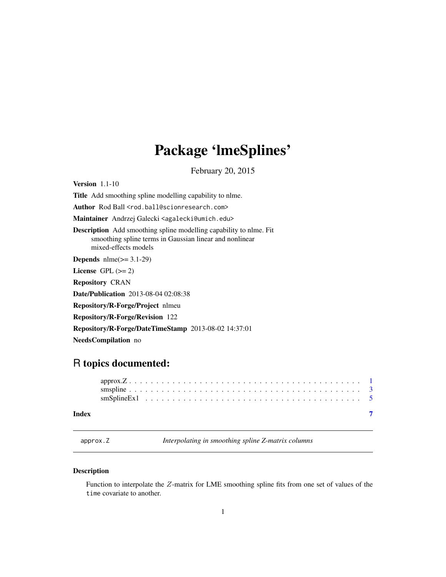## <span id="page-0-0"></span>Package 'lmeSplines'

February 20, 2015

<span id="page-0-1"></span>Version 1.1-10 Title Add smoothing spline modelling capability to nlme. Author Rod Ball <rod.ball@scionresearch.com> Maintainer Andrzej Galecki <agalecki@umich.edu> Description Add smoothing spline modelling capability to nlme. Fit smoothing spline terms in Gaussian linear and nonlinear mixed-effects models **Depends**  $n$ lme $(>= 3.1-29)$ License GPL  $(>= 2)$ Repository CRAN Date/Publication 2013-08-04 02:08:38 Repository/R-Forge/Project nlmeu Repository/R-Forge/Revision 122 Repository/R-Forge/DateTimeStamp 2013-08-02 14:37:01

NeedsCompilation no

### R topics documented:

#### **Index** [7](#page-6-0) **7**

<span id="page-0-2"></span>approx.Z *Interpolating in smoothing spline Z-matrix columns*

#### Description

Function to interpolate the Z-matrix for LME smoothing spline fits from one set of values of the time covariate to another.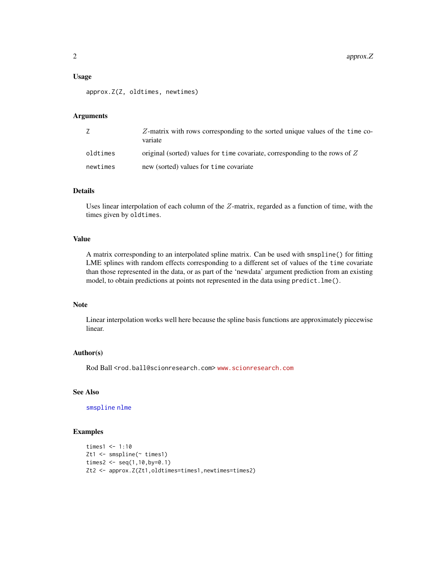#### <span id="page-1-0"></span>Usage

approx.Z(Z, oldtimes, newtimes)

#### Arguments

|          | $Z$ -matrix with rows corresponding to the sorted unique values of the time co-<br>variate |
|----------|--------------------------------------------------------------------------------------------|
| oldtimes | original (sorted) values for time covariate, corresponding to the rows of $Z$              |
| newtimes | new (sorted) values for time covariate                                                     |

#### Details

Uses linear interpolation of each column of the Z-matrix, regarded as a function of time, with the times given by oldtimes.

#### Value

A matrix corresponding to an interpolated spline matrix. Can be used with smspline() for fitting LME splines with random effects corresponding to a different set of values of the time covariate than those represented in the data, or as part of the 'newdata' argument prediction from an existing model, to obtain predictions at points not represented in the data using predict.lme().

#### Note

Linear interpolation works well here because the spline basis functions are approximately piecewise linear.

#### Author(s)

Rod Ball <rod.ball@scionresearch.com> <www.scionresearch.com>

#### See Also

[smspline](#page-2-1) [nlme](#page-0-1)

#### Examples

```
times1 < -1:10Zt1 <- smspline(~ times1)
times2 \leftarrow seq(1, 10, by=0.1)Zt2 <- approx.Z(Zt1,oldtimes=times1,newtimes=times2)
```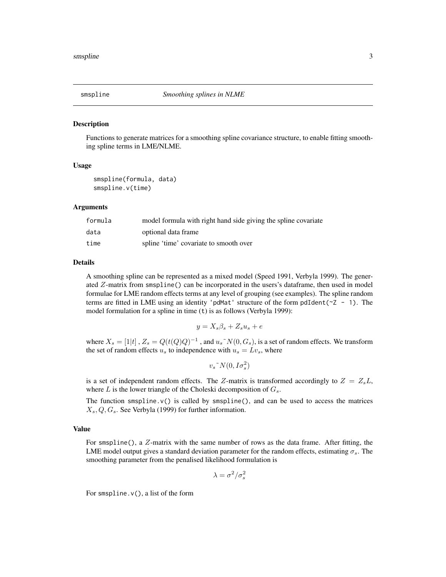<span id="page-2-1"></span><span id="page-2-0"></span>

#### Description

Functions to generate matrices for a smoothing spline covariance structure, to enable fitting smoothing spline terms in LME/NLME.

#### Usage

smspline(formula, data) smspline.v(time)

#### Arguments

| formula | model formula with right hand side giving the spline covariate |
|---------|----------------------------------------------------------------|
| data    | optional data frame                                            |
| time    | spline 'time' covariate to smooth over                         |

#### Details

A smoothing spline can be represented as a mixed model (Speed 1991, Verbyla 1999). The generated  $Z$ -matrix from smspline() can be incorporated in the users's dataframe, then used in model formulae for LME random effects terms at any level of grouping (see examples). The spline random terms are fitted in LME using an identity 'pdMat' structure of the form pdIdent( $\sim$ Z - 1). The model formulation for a spline in time (t) is as follows (Verbyla 1999):

$$
y = X_s \beta_s + Z_s u_s + e
$$

where  $X_s = [1|t]$  ,  $Z_s = Q(t(Q)Q)^{-1}$  , and  $u_s^N(t(0, G_s))$ , is a set of random effects. We transform the set of random effects  $u_s$  to independence with  $u_s = Lv_s$ , where

 $v_s$ <sup> $\sim$ </sup> $N(0, I\sigma_s^2)$ 

is a set of independent random effects. The Z-matrix is transformed accordingly to  $Z = Z<sub>s</sub>L$ , where  $L$  is the lower triangle of the Choleski decomposition of  $G_s$ .

The function smspline. $v()$  is called by smspline $()$ , and can be used to access the matrices  $X_s, Q, G_s$ . See Verbyla (1999) for further information.

#### Value

For smspline(), a  $Z$ -matrix with the same number of rows as the data frame. After fitting, the LME model output gives a standard deviation parameter for the random effects, estimating  $\sigma_s$ . The smoothing parameter from the penalised likelihood formulation is

$$
\lambda = \sigma^2/\sigma_s^2
$$

For smspline.v(), a list of the form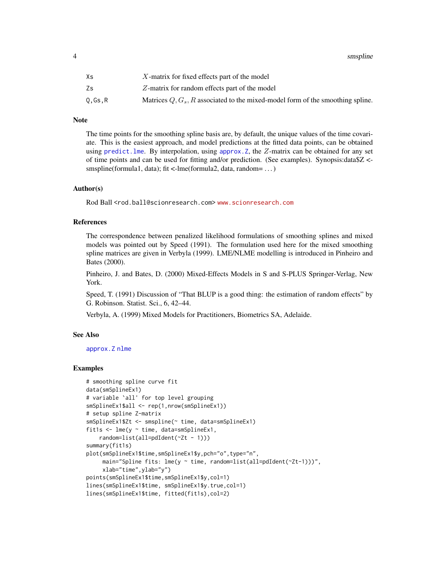<span id="page-3-0"></span>4 smspline to the contract of the contract of the contract of the contract of the contract of the contract of the contract of the contract of the contract of the contract of the contract of the contract of the contract of

| Χs     | $X$ -matrix for fixed effects part of the model                                  |
|--------|----------------------------------------------------------------------------------|
| Zs     | Z-matrix for random effects part of the model                                    |
| 0.Gs.R | Matrices $Q, G_s, R$ associated to the mixed-model form of the smoothing spline. |

#### Note

The time points for the smoothing spline basis are, by default, the unique values of the time covariate. This is the easiest approach, and model predictions at the fitted data points, can be obtained using predict. lme. By interpolation, using approx. Z, the  $Z$ -matrix can be obtained for any set of time points and can be used for fitting and/or prediction. (See examples). Synopsis:data\$Z < smspline(formula1, data); fit <-lme(formula2, data, random= ...)

#### Author(s)

Rod Ball <rod.ball@scionresearch.com> <www.scionresearch.com>

#### References

The correspondence between penalized likelihood formulations of smoothing splines and mixed models was pointed out by Speed (1991). The formulation used here for the mixed smoothing spline matrices are given in Verbyla (1999). LME/NLME modelling is introduced in Pinheiro and Bates (2000).

Pinheiro, J. and Bates, D. (2000) Mixed-Effects Models in S and S-PLUS Springer-Verlag, New York.

Speed, T. (1991) Discussion of "That BLUP is a good thing: the estimation of random effects" by G. Robinson. Statist. Sci., 6, 42–44.

Verbyla, A. (1999) Mixed Models for Practitioners, Biometrics SA, Adelaide.

#### See Also

[approx.Z](#page-0-2) [nlme](#page-0-1)

#### Examples

```
# smoothing spline curve fit
data(smSplineEx1)
# variable `all' for top level grouping
smSplineEx1$all <- rep(1,nrow(smSplineEx1))
# setup spline Z-matrix
smSplineEx1$Zt <- smspline(~ time, data=smSplineEx1)
fit1s <- lme(y ~ time, data=smSplineEx1,
    random=list(all=pdIdent(~Zt - 1)))
summary(fit1s)
plot(smSplineEx1$time,smSplineEx1$y,pch="o",type="n",
     main="Spline fits: lme(y ~ time, random=list(all=pdIdent(~Zt-1)))",
     xlab="time",ylab="y")
points(smSplineEx1$time,smSplineEx1$y,col=1)
lines(smSplineEx1$time, smSplineEx1$y.true,col=1)
lines(smSplineEx1$time, fitted(fit1s),col=2)
```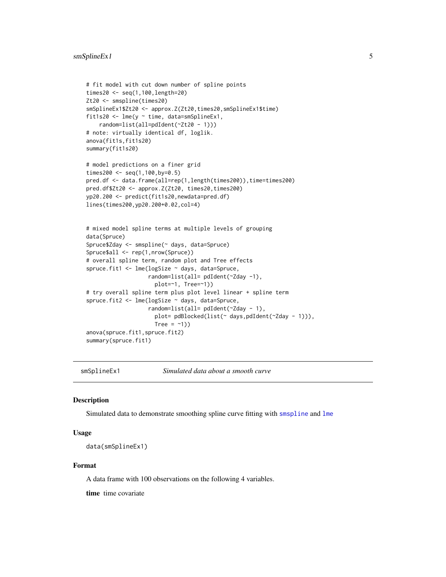```
# fit model with cut down number of spline points
times20 <- seq(1,100,length=20)
Zt20 <- smspline(times20)
smSplineEx1$Zt20 <- approx.Z(Zt20,times20,smSplineEx1$time)
fit1s20 <- lme(y ~ time, data=smSplineEx1,
    random=list(all=pdIdent(~Zt20 - 1)))
# note: virtually identical df, loglik.
anova(fit1s,fit1s20)
summary(fit1s20)
# model predictions on a finer grid
times200 <- seq(1,100,by=0.5)
pred.df <- data.frame(all=rep(1,length(times200)),time=times200)
pred.df$Zt20 <- approx.Z(Zt20, times20,times200)
yp20.200 <- predict(fit1s20,newdata=pred.df)
lines(times200,yp20.200+0.02,col=4)
# mixed model spline terms at multiple levels of grouping
data(Spruce)
Spruce$Zday <- smspline(~ days, data=Spruce)
Spruce$all <- rep(1,nrow(Spruce))
# overall spline term, random plot and Tree effects
spruce.fit1 <- lme(logSize ~ days, data=Spruce,
                   random=list(all= pdIdent(~Zday -1),
                     plot=~1, Tree=~1))
# try overall spline term plus plot level linear + spline term
spruce.fit2 <- lme(logSize ~ days, data=Spruce,
                   random=list(all= pdIdent(~Zday - 1),
                     plot= pdBlocked(list(~ days,pdIdent(~Zday - 1))),
                     Tree = -1))
anova(spruce.fit1,spruce.fit2)
summary(spruce.fit1)
```
smSplineEx1 *Simulated data about a smooth curve*

#### Description

Simulated data to demonstrate smoothing spline curve fitting with [smspline](#page-2-1) and [lme](#page-0-1)

#### Usage

```
data(smSplineEx1)
```
#### Format

A data frame with 100 observations on the following 4 variables.

time time covariate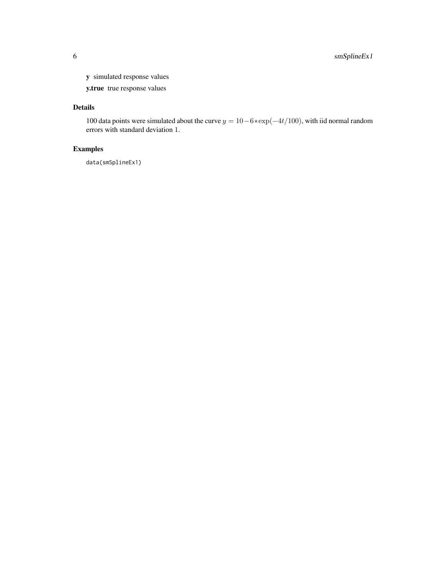y simulated response values

y.true true response values

#### Details

100 data points were simulated about the curve  $y = 10-6*exp(-4t/100)$ , with iid normal random errors with standard deviation 1.

#### Examples

data(smSplineEx1)